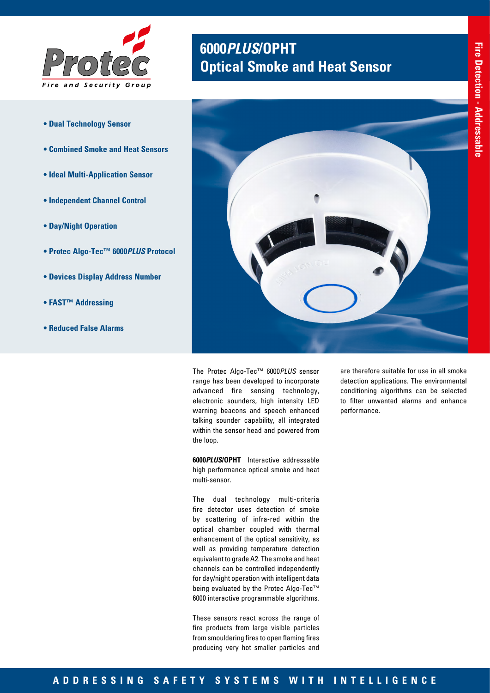

- **Dual Technology Sensor**
- **Combined Smoke and Heat Sensors**
- **Ideal Multi-Application Sensor**
- **Independent Channel Control**
- **Day/Night Operation**
- **Protec Algo-Tec™ 6000***PLUS* **Protocol**
- **Devices Display Address Number**
- **FAST™ Addressing**
- **Reduced False Alarms**

# **6000***PLUS***/OPHT Optical Smoke and Heat Sensor**



The Protec Algo-Tec™ 6000*PLUS* sensor range has been developed to incorporate advanced fire sensing technology, electronic sounders, high intensity LED warning beacons and speech enhanced talking sounder capability, all integrated within the sensor head and powered from the loop.

**6000***PLUS***/OPHT** Interactive addressable high performance optical smoke and heat multi-sensor.

The dual technology multi-criteria fire detector uses detection of smoke by scattering of infra-red within the optical chamber coupled with thermal enhancement of the optical sensitivity, as well as providing temperature detection equivalent to grade A2. The smoke and heat channels can be controlled independently for day/night operation with intelligent data being evaluated by the Protec Algo-Tec™ 6000 interactive programmable algorithms.

These sensors react across the range of fire products from large visible particles from smouldering fires to open flaming fires producing very hot smaller particles and

are therefore suitable for use in all smoke detection applications. The environmental conditioning algorithms can be selected to filter unwanted alarms and enhance performance.